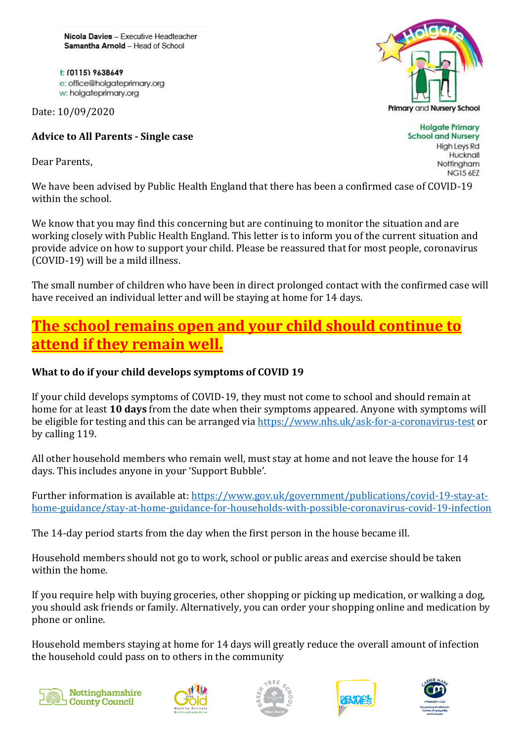Nicola Davies - Executive Headteacher Samantha Arnold - Head of School

t: (0115) 9638649 e: office@holgateprimary.org w: holgateprimary.org

Date: 10/09/2020

#### **Advice to All Parents - Single case**

Dear Parents,

We have been advised by Public Health England that there has been a confirmed case of COVID-19 within the school.

We know that you may find this concerning but are continuing to monitor the situation and are working closely with Public Health England. This letter is to inform you of the current situation and provide advice on how to support your child. Please be reassured that for most people, coronavirus (COVID-19) will be a mild illness.

The small number of children who have been in direct prolonged contact with the confirmed case will have received an individual letter and will be staying at home for 14 days.

# **The school remains open and your child should continue to attend if they remain well.**

#### **What to do if your child develops symptoms of COVID 19**

If your child develops symptoms of COVID-19, they must not come to school and should remain at home for at least **10 days** from the date when their symptoms appeared. Anyone with symptoms will be eligible for testing and this can be arranged via<https://www.nhs.uk/ask-for-a-coronavirus-test> or by calling 119.

All other household members who remain well, must stay at home and not leave the house for 14 days. This includes anyone in your 'Support Bubble'.

Further information is available at: [https://www.gov.uk/government/publications/covid-19-stay-at](https://www.gov.uk/government/publications/covid-19-stay-at-home-guidance/stay-at-home-guidance-for-households-with-possible-coronavirus-covid-19-infection)[home-guidance/stay-at-home-guidance-for-households-with-possible-coronavirus-covid-19-infection](https://www.gov.uk/government/publications/covid-19-stay-at-home-guidance/stay-at-home-guidance-for-households-with-possible-coronavirus-covid-19-infection)

The 14-day period starts from the day when the first person in the house became ill.

Household members should not go to work, school or public areas and exercise should be taken within the home.

If you require help with buying groceries, other shopping or picking up medication, or walking a dog, you should ask friends or family. Alternatively, you can order your shopping online and medication by phone or online.

Household members staying at home for 14 days will greatly reduce the overall amount of infection the household could pass on to others in the community













**Holgate Primary School and Nursery High Leys Rd** Hucknall Nottingham **NG15 6EZ**